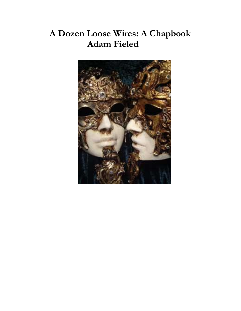# **A Dozen Loose Wires: A Chapbook Adam Fieled**

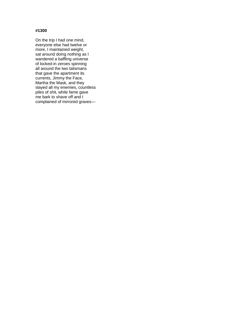On the trip I had one mind, everyone else had twelve or more, I maintained weight, sat around doing nothing as I wandered a baffling universe of locked-in zeroes spinning all around the two talismans that gave the apartment its currents, Jimmy the Face, Martha the Mask, and they slayed all my enemies, countless piles of shit, while fame gave me bark to shave off and I complained of mirrored graves—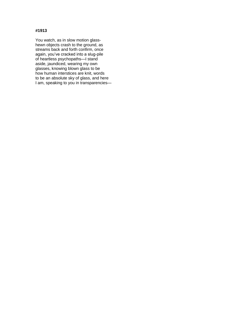You watch, as in slow motion glasshewn objects crash to the ground, as streams back and forth confirm, once again, you've cracked into a slug-pile of heartless psychopaths—I stand aside, jaundiced, wearing my own glasses, knowing blown glass to be how human interstices are knit, words to be an absolute sky of glass, and here I am, speaking to you in transparencies—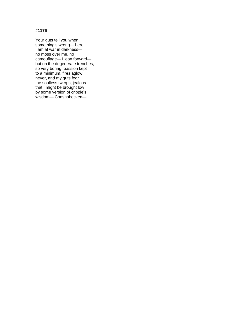Your guts tell you when something's wrong— here I am at war in darkness no moss over me, no camouflage— I lean forward but oh the degenerate trenches, so very boring, passion kept to a minimum, fires aglow never, and my guts fear the soulless twerps, jealous that I might be brought low by some version of cripple's wisdom— Conshohocken—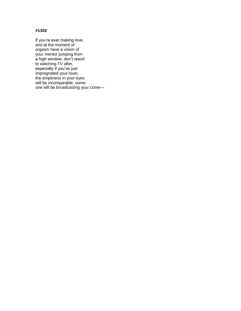If you're ever making love, and at the moment of orgasm have a vision of your mentor jumping from a high window, don't resort to watching TV after, especially if you've just impregnated your lover, the emptiness in your eyes will be incomparable, someone will be broadcasting your come—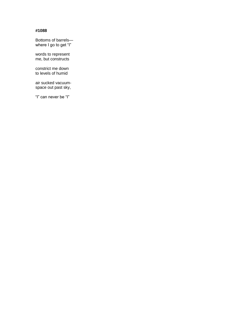Bottoms of barrels where I go to get "I"

words to represent me, but constructs

constrict me down to levels of humid

air sucked vacuumspace out past sky,

"I" can never be "I"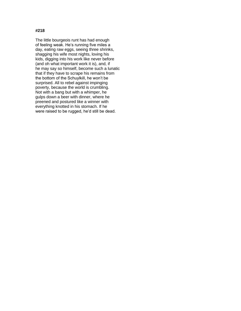The little bourgeois runt has had enough of feeling weak. He's running five miles a day, eating raw eggs, seeing three shrinks, shagging his wife most nights, loving his kids, digging into his work like never before (and oh what important work it is), and, if he may say so himself, become such a lunatic that if they have to scrape his remains from the bottom of the Schuylkill, he won't be surprised. All to rebel against impinging poverty, because the world is crumbling. Not with a bang but with a whimper, he gulps down a beer with dinner, where he preened and postured like a winner with everything knotted in his stomach. If he were raised to be rugged, he'd still be dead.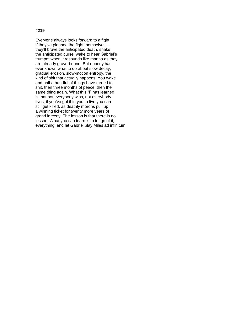Everyone always looks forward to a fight if they've planned the fight themselves they'll brave the anticipated death, shake the anticipated curse, wake to hear Gabriel's trumpet when it resounds like manna as they are already grave-bound. But nobody has ever known what to do about slow decay, gradual erosion, slow-motion entropy, the kind of shit that actually happens. You wake and half a handful of things have turned to shit, then three months of peace, then the same thing again. What this "I" has learned is that not everybody wins, not everybody lives, if you've got it in you to live you can still get killed, as deathly morons pull up a winning ticket for twenty more years of grand larceny. The lesson is that there is no lesson. What you can learn is to let go of it, everything, and let Gabriel play Miles ad infinitum.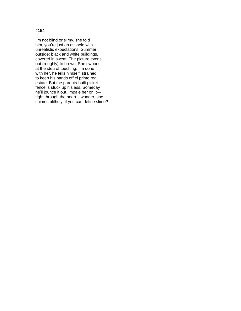I'm not blind or slimy, she told him, you're just an asshole with unrealistic expectations. Summer outside: black and white buildings, covered in sweat. The picture evens out (roughly) to brown. She swoons at the idea of touching. I'm done with her, he tells himself, strained to keep his hands off el primo real estate. But the parents-built picket fence is stuck up his ass. Someday he'll jounce it out, impale her on it right through the heart. I wonder, she chimes blithely, if you can define slime?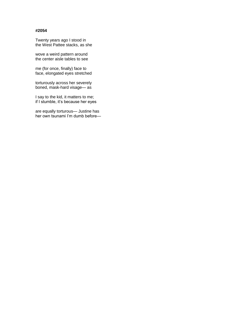Twenty years ago I stood in the West Pattee stacks, as she

wove a weird pattern around the center aisle tables to see

me (for once, finally) face to face, elongated eyes stretched

torturously across her severely boned, mask-hard visage— as

I say to the kid, it matters to me; if I stumble, it's because her eyes

are equally torturous— Justine has her own tsunami I'm dumb before—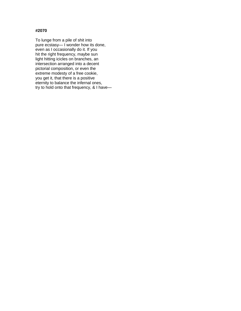To lunge from a pile of shit into pure ecstasy— I wonder how its done, even as I occasionally do it. If you hit the right frequency, maybe sun light hitting icicles on branches, an intersection arranged into a decent pictorial composition, or even the extreme modesty of a free cookie, you get it, that there is a positive eternity to balance the infernal ones, try to hold onto that frequency, & I have—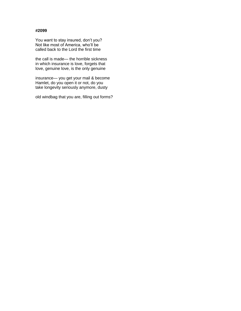You want to stay insured, don't you? Not like most of America, who'll be called back to the Lord the first time

the call is made— the horrible sickness in which insurance is love, forgets that love, genuine love, is the only genuine

insurance— you get your mail & become Hamlet, do you open it or not, do you take longevity seriously anymore, dusty

old windbag that you are, filling out forms?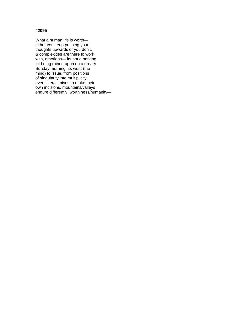What a human life is worth either you keep pushing your thoughts upwards or you don't, & complexities are there to work with, emotions— its not a parking lot being rained upon on a dreary Sunday morning, its wont (the mind) to issue, from positions of singularity into multiplicity, even, literal knives to make their own incisions, mountains/valleys endure differently, worthiness/humanity—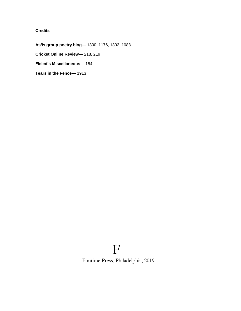# **Credits**

**As/Is group poetry blog—** 1300, 1176, 1302, 1088 **Cricket Online Review—** 218, 219 **Fieled's Miscellaneous—** 154 **Tears in the Fence—** 1913

# F Funtime Press, Philadelphia, 2019